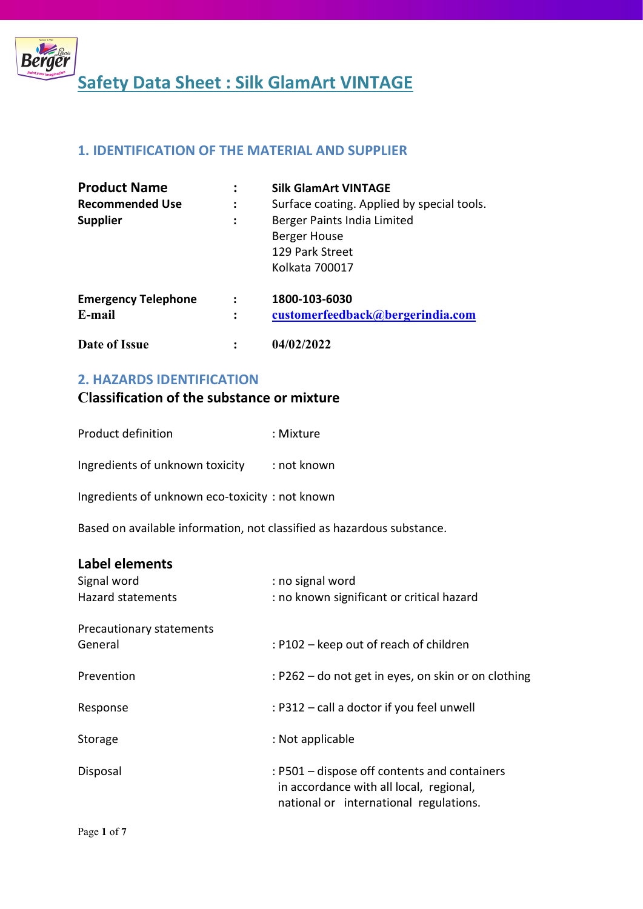

## 1. IDENTIFICATION OF THE MATERIAL AND SUPPLIER

| <b>Product Name</b>        |                | <b>Silk GlamArt VINTAGE</b>                                                      |
|----------------------------|----------------|----------------------------------------------------------------------------------|
| <b>Recommended Use</b>     | :              | Surface coating. Applied by special tools.                                       |
| <b>Supplier</b>            | :              | Berger Paints India Limited<br>Berger House<br>129 Park Street<br>Kolkata 700017 |
| <b>Emergency Telephone</b> |                | 1800-103-6030                                                                    |
| E-mail<br>Date of Issue    | $\ddot{\cdot}$ | customerfeedback@bergerindia.com<br>04/02/2022                                   |

#### 2. HAZARDS IDENTIFICATION

## Classification of the substance or mixture

| Product definition | : Mixture |
|--------------------|-----------|
|                    |           |

Ingredients of unknown toxicity : not known

Ingredients of unknown eco-toxicity : not known

Based on available information, not classified as hazardous substance.

## Label elements

| Signal word<br><b>Hazard statements</b> | : no signal word<br>: no known significant or critical hazard                                                                     |
|-----------------------------------------|-----------------------------------------------------------------------------------------------------------------------------------|
| Precautionary statements<br>General     | : P102 – keep out of reach of children                                                                                            |
| Prevention                              | : P262 – do not get in eyes, on skin or on clothing                                                                               |
| Response                                | : P312 - call a doctor if you feel unwell                                                                                         |
| Storage                                 | : Not applicable                                                                                                                  |
| Disposal                                | : P501 – dispose off contents and containers<br>in accordance with all local, regional,<br>national or international regulations. |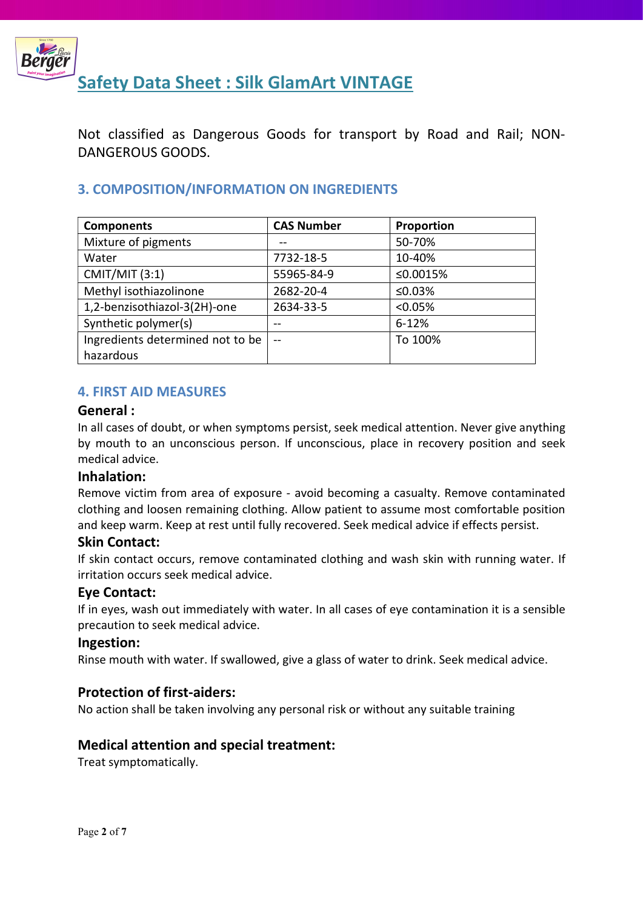

Not classified as Dangerous Goods for transport by Road and Rail; NON-DANGEROUS GOODS.

## 3. COMPOSITION/INFORMATION ON INGREDIENTS

| <b>Components</b>                | <b>CAS Number</b> | Proportion |
|----------------------------------|-------------------|------------|
| Mixture of pigments              |                   | 50-70%     |
| Water                            | 7732-18-5         | 10-40%     |
| <b>CMIT/MIT (3:1)</b>            | 55965-84-9        | ≤0.0015%   |
| Methyl isothiazolinone           | 2682-20-4         | ≤0.03%     |
| 1,2-benzisothiazol-3(2H)-one     | 2634-33-5         | < 0.05%    |
| Synthetic polymer(s)             | --                | $6 - 12%$  |
| Ingredients determined not to be | $-$               | To 100%    |
| hazardous                        |                   |            |

#### 4. FIRST AID MEASURES

#### General :

In all cases of doubt, or when symptoms persist, seek medical attention. Never give anything by mouth to an unconscious person. If unconscious, place in recovery position and seek medical advice.

#### Inhalation:

Remove victim from area of exposure - avoid becoming a casualty. Remove contaminated clothing and loosen remaining clothing. Allow patient to assume most comfortable position and keep warm. Keep at rest until fully recovered. Seek medical advice if effects persist.

#### Skin Contact:

If skin contact occurs, remove contaminated clothing and wash skin with running water. If irritation occurs seek medical advice.

#### Eye Contact:

If in eyes, wash out immediately with water. In all cases of eye contamination it is a sensible precaution to seek medical advice.

#### Ingestion:

Rinse mouth with water. If swallowed, give a glass of water to drink. Seek medical advice.

#### Protection of first-aiders:

No action shall be taken involving any personal risk or without any suitable training

#### Medical attention and special treatment:

Treat symptomatically.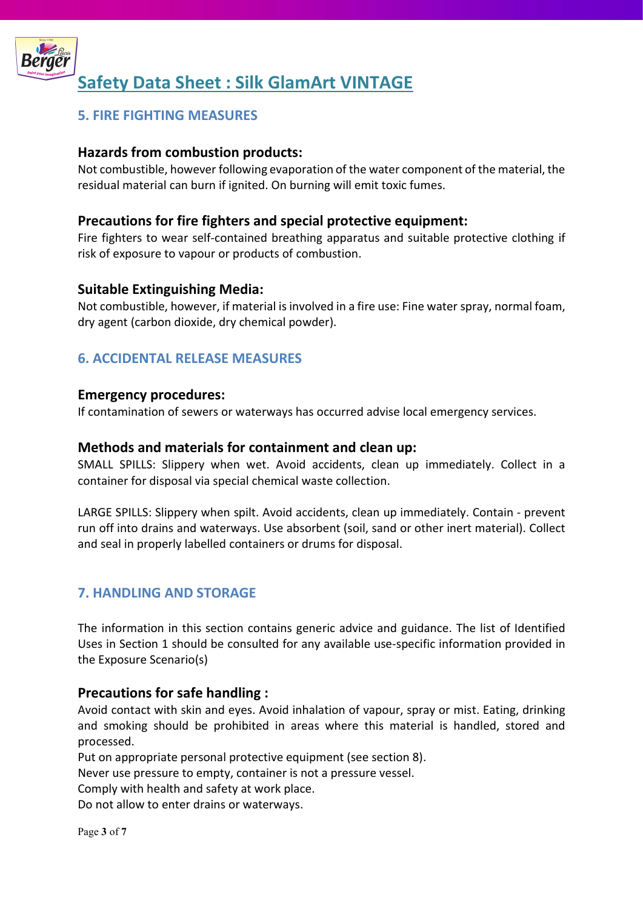

## 5. FIRE FIGHTING MEASURES

#### Hazards from combustion products:

Not combustible, however following evaporation of the water component of the material, the residual material can burn if ignited. On burning will emit toxic fumes.

### Precautions for fire fighters and special protective equipment:

Fire fighters to wear self-contained breathing apparatus and suitable protective clothing if risk of exposure to vapour or products of combustion.

#### Suitable Extinguishing Media:

Not combustible, however, if material is involved in a fire use: Fine water spray, normal foam, dry agent (carbon dioxide, dry chemical powder).

### 6. ACCIDENTAL RELEASE MEASURES

#### Emergency procedures:

If contamination of sewers or waterways has occurred advise local emergency services.

#### Methods and materials for containment and clean up:

SMALL SPILLS: Slippery when wet. Avoid accidents, clean up immediately. Collect in a container for disposal via special chemical waste collection.

LARGE SPILLS: Slippery when spilt. Avoid accidents, clean up immediately. Contain - prevent run off into drains and waterways. Use absorbent (soil, sand or other inert material). Collect and seal in properly labelled containers or drums for disposal.

### 7. HANDLING AND STORAGE

The information in this section contains generic advice and guidance. The list of Identified Uses in Section 1 should be consulted for any available use-specific information provided in the Exposure Scenario(s)

#### Precautions for safe handling :

Avoid contact with skin and eyes. Avoid inhalation of vapour, spray or mist. Eating, drinking and smoking should be prohibited in areas where this material is handled, stored and processed.

Put on appropriate personal protective equipment (see section 8).

Never use pressure to empty, container is not a pressure vessel.

Comply with health and safety at work place.

Do not allow to enter drains or waterways.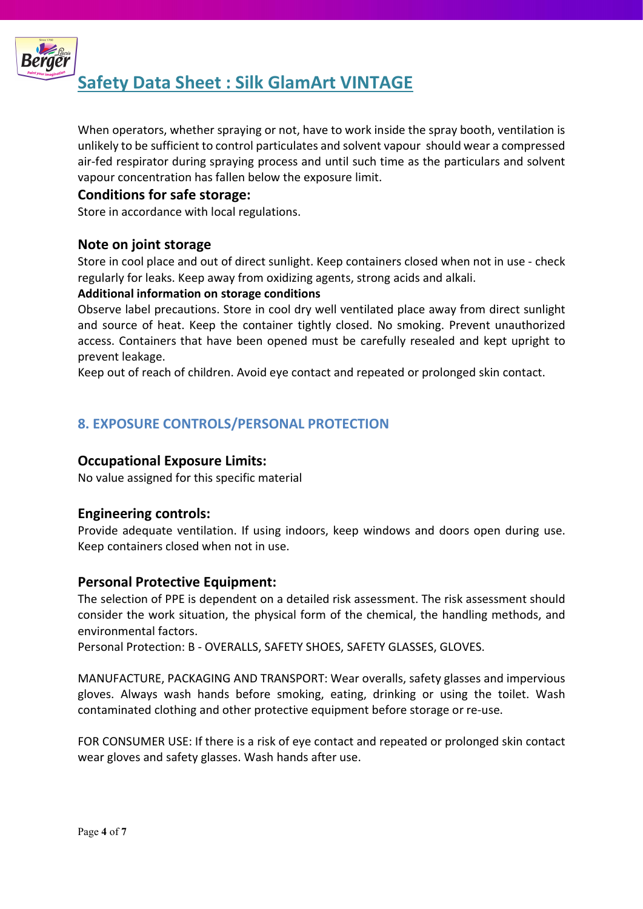

When operators, whether spraying or not, have to work inside the spray booth, ventilation is unlikely to be sufficient to control particulates and solvent vapour should wear a compressed air-fed respirator during spraying process and until such time as the particulars and solvent vapour concentration has fallen below the exposure limit.

#### Conditions for safe storage:

Store in accordance with local regulations.

#### Note on joint storage

Store in cool place and out of direct sunlight. Keep containers closed when not in use - check regularly for leaks. Keep away from oxidizing agents, strong acids and alkali.

#### Additional information on storage conditions

Observe label precautions. Store in cool dry well ventilated place away from direct sunlight and source of heat. Keep the container tightly closed. No smoking. Prevent unauthorized access. Containers that have been opened must be carefully resealed and kept upright to prevent leakage.

Keep out of reach of children. Avoid eye contact and repeated or prolonged skin contact.

## 8. EXPOSURE CONTROLS/PERSONAL PROTECTION

#### Occupational Exposure Limits:

No value assigned for this specific material

#### Engineering controls:

Provide adequate ventilation. If using indoors, keep windows and doors open during use. Keep containers closed when not in use.

#### Personal Protective Equipment:

The selection of PPE is dependent on a detailed risk assessment. The risk assessment should consider the work situation, the physical form of the chemical, the handling methods, and environmental factors.

Personal Protection: B - OVERALLS, SAFETY SHOES, SAFETY GLASSES, GLOVES.

MANUFACTURE, PACKAGING AND TRANSPORT: Wear overalls, safety glasses and impervious gloves. Always wash hands before smoking, eating, drinking or using the toilet. Wash contaminated clothing and other protective equipment before storage or re-use.

FOR CONSUMER USE: If there is a risk of eye contact and repeated or prolonged skin contact wear gloves and safety glasses. Wash hands after use.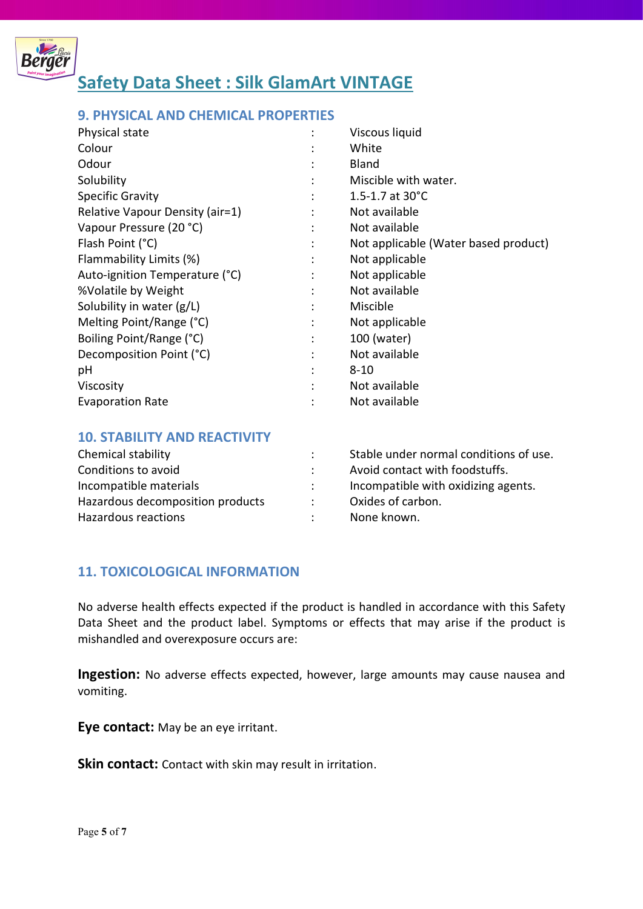

#### 9. PHYSICAL AND CHEMICAL PROPERTIES

| Physical state                  |                | Viscous liquid                       |
|---------------------------------|----------------|--------------------------------------|
| Colour                          |                | White                                |
| Odour                           |                | <b>Bland</b>                         |
| Solubility                      | $\bullet$      | Miscible with water.                 |
| <b>Specific Gravity</b>         | ٠              | 1.5-1.7 at $30^{\circ}$ C            |
| Relative Vapour Density (air=1) |                | Not available                        |
| Vapour Pressure (20 °C)         |                | Not available                        |
| Flash Point (°C)                |                | Not applicable (Water based product) |
| Flammability Limits (%)         | ÷              | Not applicable                       |
| Auto-ignition Temperature (°C)  |                | Not applicable                       |
| %Volatile by Weight             | ÷              | Not available                        |
| Solubility in water (g/L)       |                | Miscible                             |
| Melting Point/Range (°C)        | $\ddot{\cdot}$ | Not applicable                       |
| Boiling Point/Range (°C)        | $\ddot{\cdot}$ | 100 (water)                          |
| Decomposition Point (°C)        | ٠              | Not available                        |
| рH                              | ٠              | $8 - 10$                             |
| Viscosity                       |                | Not available                        |
| <b>Evaporation Rate</b>         |                | Not available                        |

#### 10. STABILITY AND REACTIVITY

| Chemical stability               | Stable under normal conditions of use. |
|----------------------------------|----------------------------------------|
| Conditions to avoid              | Avoid contact with foodstuffs.         |
| Incompatible materials           | Incompatible with oxidizing agents.    |
| Hazardous decomposition products | Oxides of carbon.                      |
| Hazardous reactions              | None known.                            |

#### 11. TOXICOLOGICAL INFORMATION

No adverse health effects expected if the product is handled in accordance with this Safety Data Sheet and the product label. Symptoms or effects that may arise if the product is mishandled and overexposure occurs are:

Ingestion: No adverse effects expected, however, large amounts may cause nausea and vomiting.

Eye contact: May be an eye irritant.

Skin contact: Contact with skin may result in irritation.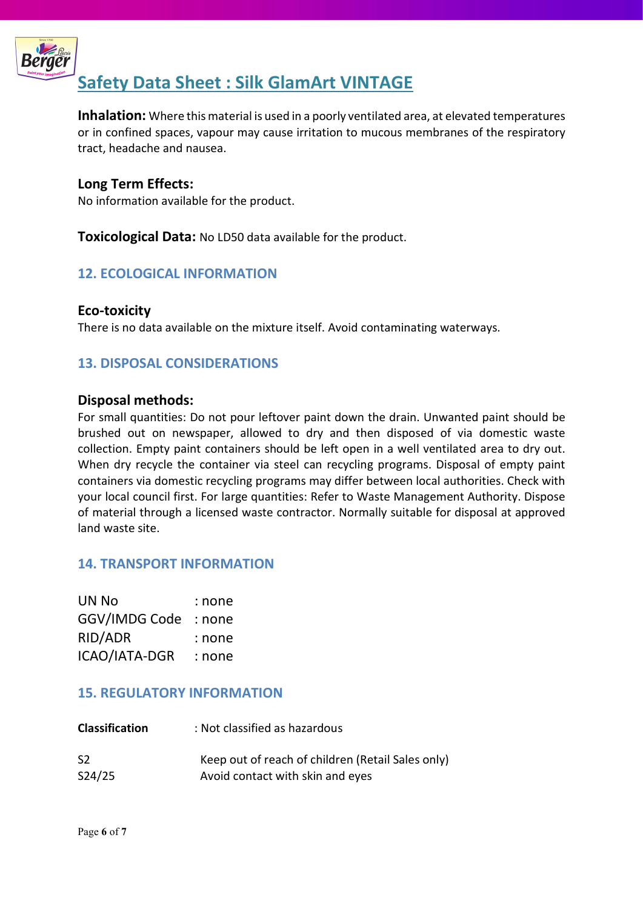

Inhalation: Where this material is used in a poorly ventilated area, at elevated temperatures or in confined spaces, vapour may cause irritation to mucous membranes of the respiratory tract, headache and nausea.

#### Long Term Effects:

No information available for the product.

**Toxicological Data:** No LD50 data available for the product.

### 12. ECOLOGICAL INFORMATION

#### Eco-toxicity

There is no data available on the mixture itself. Avoid contaminating waterways.

### 13. DISPOSAL CONSIDERATIONS

#### Disposal methods:

For small quantities: Do not pour leftover paint down the drain. Unwanted paint should be brushed out on newspaper, allowed to dry and then disposed of via domestic waste collection. Empty paint containers should be left open in a well ventilated area to dry out. When dry recycle the container via steel can recycling programs. Disposal of empty paint containers via domestic recycling programs may differ between local authorities. Check with your local council first. For large quantities: Refer to Waste Management Authority. Dispose of material through a licensed waste contractor. Normally suitable for disposal at approved land waste site.

#### 14. TRANSPORT INFORMATION

| UN No         | : none |
|---------------|--------|
| GGV/IMDG Code | : none |
| RID/ADR       | : none |
| ICAO/IATA-DGR | : none |

#### 15. REGULATORY INFORMATION

| <b>Classification</b> | : Not classified as hazardous                     |
|-----------------------|---------------------------------------------------|
| S <sub>2</sub>        | Keep out of reach of children (Retail Sales only) |
| S24/25                | Avoid contact with skin and eyes                  |